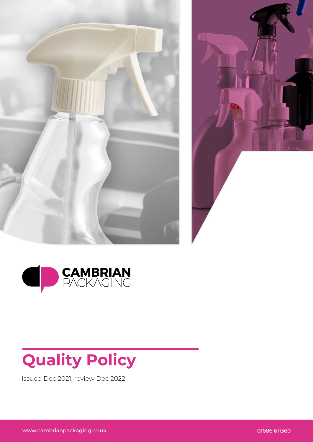





## **Quality Policy**

Issued Dec 2021, review Dec 2022